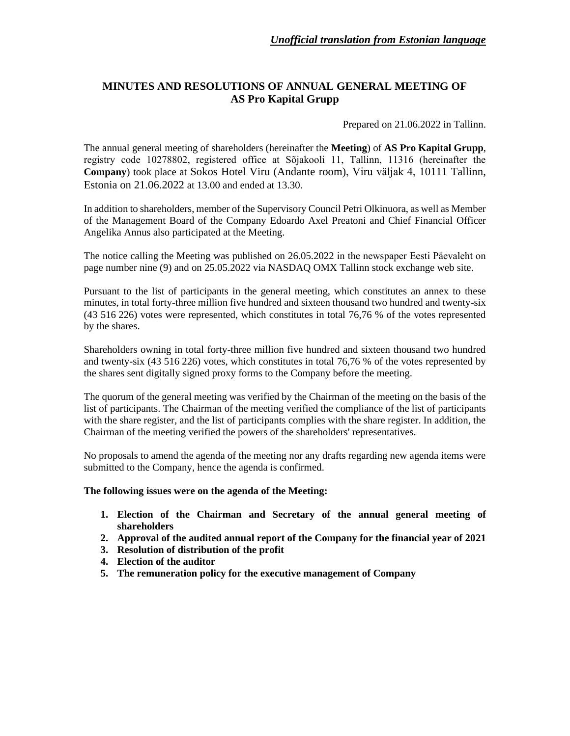# **MINUTES AND RESOLUTIONS OF ANNUAL GENERAL MEETING OF AS Pro Kapital Grupp**

Prepared on 21.06.2022 in Tallinn.

The annual general meeting of shareholders (hereinafter the **Meeting**) of **AS Pro Kapital Grupp**, registry code 10278802, registered office at Sõjakooli 11, Tallinn, 11316 (hereinafter the **Company**) took place at Sokos Hotel Viru (Andante room), Viru väljak 4, 10111 Tallinn, Estonia on 21.06.2022 at 13.00 and ended at 13.30.

In addition to shareholders, member of the Supervisory Council Petri Olkinuora, as well as Member of the Management Board of the Company Edoardo Axel Preatoni and Chief Financial Officer Angelika Annus also participated at the Meeting.

The notice calling the Meeting was published on 26.05.2022 in the newspaper Eesti Päevaleht on page number nine (9) and on 25.05.2022 via NASDAQ OMX Tallinn stock exchange web site.

Pursuant to the list of participants in the general meeting, which constitutes an annex to these minutes, in total forty-three million five hundred and sixteen thousand two hundred and twenty-six (43 516 226) votes were represented, which constitutes in total 76,76 % of the votes represented by the shares.

Shareholders owning in total forty-three million five hundred and sixteen thousand two hundred and twenty-six (43 516 226) votes, which constitutes in total 76,76 % of the votes represented by the shares sent digitally signed proxy forms to the Company before the meeting.

The quorum of the general meeting was verified by the Chairman of the meeting on the basis of the list of participants. The Chairman of the meeting verified the compliance of the list of participants with the share register, and the list of participants complies with the share register. In addition, the Chairman of the meeting verified the powers of the shareholders' representatives.

No proposals to amend the agenda of the meeting nor any drafts regarding new agenda items were submitted to the Company, hence the agenda is confirmed.

## **The following issues were on the agenda of the Meeting:**

- **1. Election of the Chairman and Secretary of the annual general meeting of shareholders**
- **2. Approval of the audited annual report of the Company for the financial year of 2021**
- **3. Resolution of distribution of the profit**
- **4. Election of the auditor**
- **5. The remuneration policy for the executive management of Company**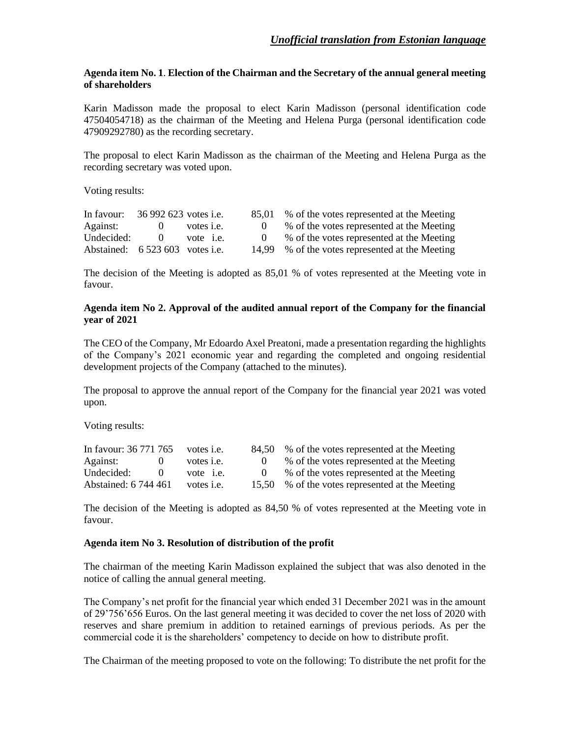#### **Agenda item No. 1**. **Election of the Chairman and the Secretary of the annual general meeting of shareholders**

Karin Madisson made the proposal to elect Karin Madisson (personal identification code 47504054718) as the chairman of the Meeting and Helena Purga (personal identification code 47909292780) as the recording secretary.

The proposal to elect Karin Madisson as the chairman of the Meeting and Helena Purga as the recording secretary was voted upon.

Voting results:

| In favour:                      | 36 992 623 votes i.e. |                   | 85,01 % of the votes represented at the Meeting |
|---------------------------------|-----------------------|-------------------|-------------------------------------------------|
| Against:                        |                       | votes <i>i.e.</i> | % of the votes represented at the Meeting       |
| Undecided:                      |                       | vote <i>i.e.</i>  | % of the votes represented at the Meeting       |
| Abstained: 6 523 603 votes i.e. |                       |                   | 14,99 % of the votes represented at the Meeting |

The decision of the Meeting is adopted as 85,01 % of votes represented at the Meeting vote in favour.

#### **Agenda item No 2. Approval of the audited annual report of the Company for the financial year of 2021**

The CEO of the Company, Mr Edoardo Axel Preatoni, made a presentation regarding the highlights of the Company's 2021 economic year and regarding the completed and ongoing residential development projects of the Company (attached to the minutes).

The proposal to approve the annual report of the Company for the financial year 2021 was voted upon.

Voting results:

| In favour: 36 771 765 | votes <i>i.e.</i> | 84.50 | % of the votes represented at the Meeting       |
|-----------------------|-------------------|-------|-------------------------------------------------|
| Against:              | votes <i>i.e.</i> |       | % of the votes represented at the Meeting       |
| Undecided:            | vote <i>i.e.</i>  |       | % of the votes represented at the Meeting       |
| Abstained: 6 744 461  | votes <i>i.e.</i> |       | 15,50 % of the votes represented at the Meeting |

The decision of the Meeting is adopted as 84,50 % of votes represented at the Meeting vote in favour.

### **Agenda item No 3. Resolution of distribution of the profit**

The chairman of the meeting Karin Madisson explained the subject that was also denoted in the notice of calling the annual general meeting.

The Company's net profit for the financial year which ended 31 December 2021 was in the amount of 29'756'656 Euros. On the last general meeting it was decided to cover the net loss of 2020 with reserves and share premium in addition to retained earnings of previous periods. As per the commercial code it is the shareholders' competency to decide on how to distribute profit.

The Chairman of the meeting proposed to vote on the following: To distribute the net profit for the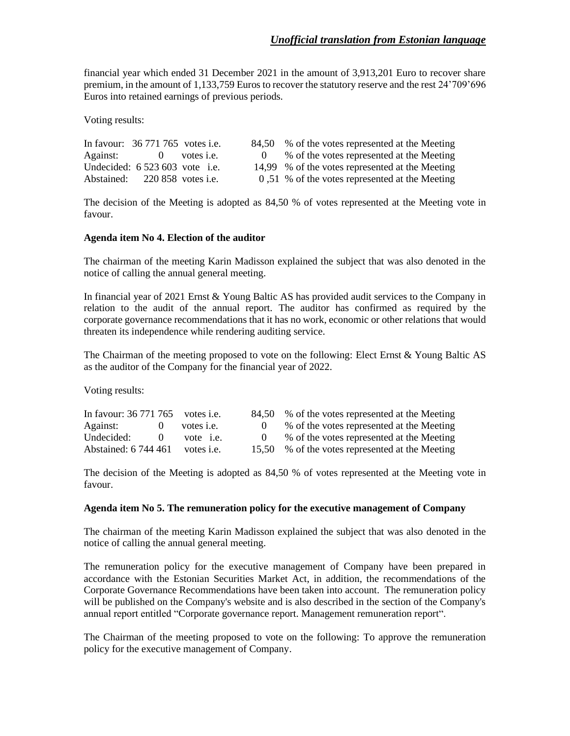financial year which ended 31 December 2021 in the amount of 3,913,201 Euro to recover share premium, in the amount of 1,133,759 Euros to recover the statutory reserve and the rest 24'709'696 Euros into retained earnings of previous periods.

Voting results:

|  |                                                                                                                              | 84,50 % of the votes represented at the Meeting |
|--|------------------------------------------------------------------------------------------------------------------------------|-------------------------------------------------|
|  |                                                                                                                              | % of the votes represented at the Meeting       |
|  |                                                                                                                              | 14,99 % of the votes represented at the Meeting |
|  |                                                                                                                              | 0,51 % of the votes represented at the Meeting  |
|  | In favour: $36771765$ votes i.e.<br>Against: 0 votes i.e.<br>Undecided: $6523603$ vote i.e.<br>Abstained: 220 858 votes i.e. |                                                 |

The decision of the Meeting is adopted as 84,50 % of votes represented at the Meeting vote in favour.

#### **Agenda item No 4. Election of the auditor**

The chairman of the meeting Karin Madisson explained the subject that was also denoted in the notice of calling the annual general meeting.

In financial year of 2021 Ernst & Young Baltic AS has provided audit services to the Company in relation to the audit of the annual report. The auditor has confirmed as required by the corporate governance recommendations that it has no work, economic or other relations that would threaten its independence while rendering auditing service.

The Chairman of the meeting proposed to vote on the following: Elect Ernst & Young Baltic AS as the auditor of the Company for the financial year of 2022.

Voting results:

| In favour: $36\,771\,765$ votes i.e. |    |                   | 84,50 % of the votes represented at the Meeting |
|--------------------------------------|----|-------------------|-------------------------------------------------|
| Against:                             |    | votes <i>i.e.</i> | % of the votes represented at the Meeting       |
| Undecided:                           | -0 | vote <i>i.e.</i>  | % of the votes represented at the Meeting       |
| Abstained: 6 744 461                 |    | votes <i>i.e.</i> | 15,50 % of the votes represented at the Meeting |

The decision of the Meeting is adopted as 84,50 % of votes represented at the Meeting vote in favour.

#### **Agenda item No 5. The remuneration policy for the executive management of Company**

The chairman of the meeting Karin Madisson explained the subject that was also denoted in the notice of calling the annual general meeting.

The remuneration policy for the executive management of Company have been prepared in accordance with the Estonian Securities Market Act, in addition, the recommendations of the Corporate Governance Recommendations have been taken into account. The remuneration policy will be published on the Company's website and is also described in the section of the Company's annual report entitled "Corporate governance report. Management remuneration report".

The Chairman of the meeting proposed to vote on the following: To approve the remuneration policy for the executive management of Company.